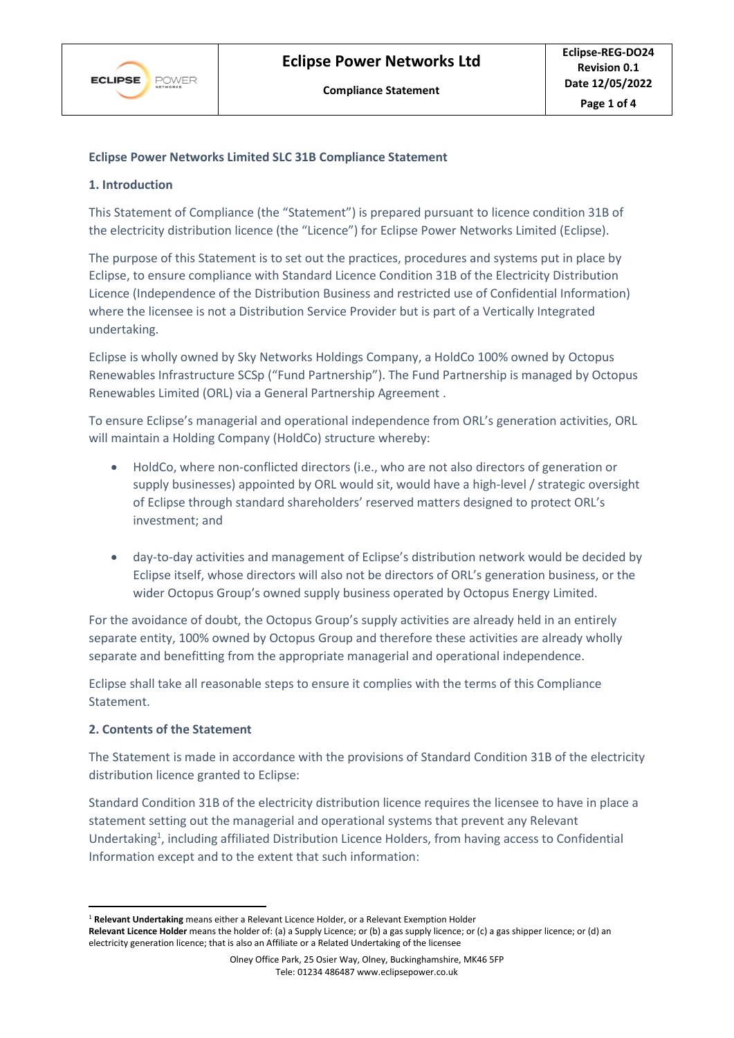

## **Eclipse Power Networks Limited SLC 31B Compliance Statement**

#### **1. Introduction**

This Statement of Compliance (the "Statement") is prepared pursuant to licence condition 31B of the electricity distribution licence (the "Licence") for Eclipse Power Networks Limited (Eclipse).

The purpose of this Statement is to set out the practices, procedures and systems put in place by Eclipse, to ensure compliance with Standard Licence Condition 31B of the Electricity Distribution Licence (Independence of the Distribution Business and restricted use of Confidential Information) where the licensee is not a Distribution Service Provider but is part of a Vertically Integrated undertaking.

Eclipse is wholly owned by Sky Networks Holdings Company, a HoldCo 100% owned by Octopus Renewables Infrastructure SCSp ("Fund Partnership"). The Fund Partnership is managed by Octopus Renewables Limited (ORL) via a General Partnership Agreement .

To ensure Eclipse's managerial and operational independence from ORL's generation activities, ORL will maintain a Holding Company (HoldCo) structure whereby:

- HoldCo, where non-conflicted directors (i.e., who are not also directors of generation or supply businesses) appointed by ORL would sit, would have a high-level / strategic oversight of Eclipse through standard shareholders' reserved matters designed to protect ORL's investment; and
- day-to-day activities and management of Eclipse's distribution network would be decided by Eclipse itself, whose directors will also not be directors of ORL's generation business, or the wider Octopus Group's owned supply business operated by Octopus Energy Limited.

For the avoidance of doubt, the Octopus Group's supply activities are already held in an entirely separate entity, 100% owned by Octopus Group and therefore these activities are already wholly separate and benefitting from the appropriate managerial and operational independence.

Eclipse shall take all reasonable steps to ensure it complies with the terms of this Compliance Statement.

#### **2. Contents of the Statement**

The Statement is made in accordance with the provisions of Standard Condition 31B of the electricity distribution licence granted to Eclipse:

Standard Condition 31B of the electricity distribution licence requires the licensee to have in place a statement setting out the managerial and operational systems that prevent any Relevant Undertaking<sup>1</sup>, including affiliated Distribution Licence Holders, from having access to Confidential Information except and to the extent that such information:

<sup>1</sup> **Relevant Undertaking** means either a Relevant Licence Holder, or a Relevant Exemption Holder

**Relevant Licence Holder** means the holder of: (a) a Supply Licence; or (b) a gas supply licence; or (c) a gas shipper licence; or (d) an electricity generation licence; that is also an Affiliate or a Related Undertaking of the licensee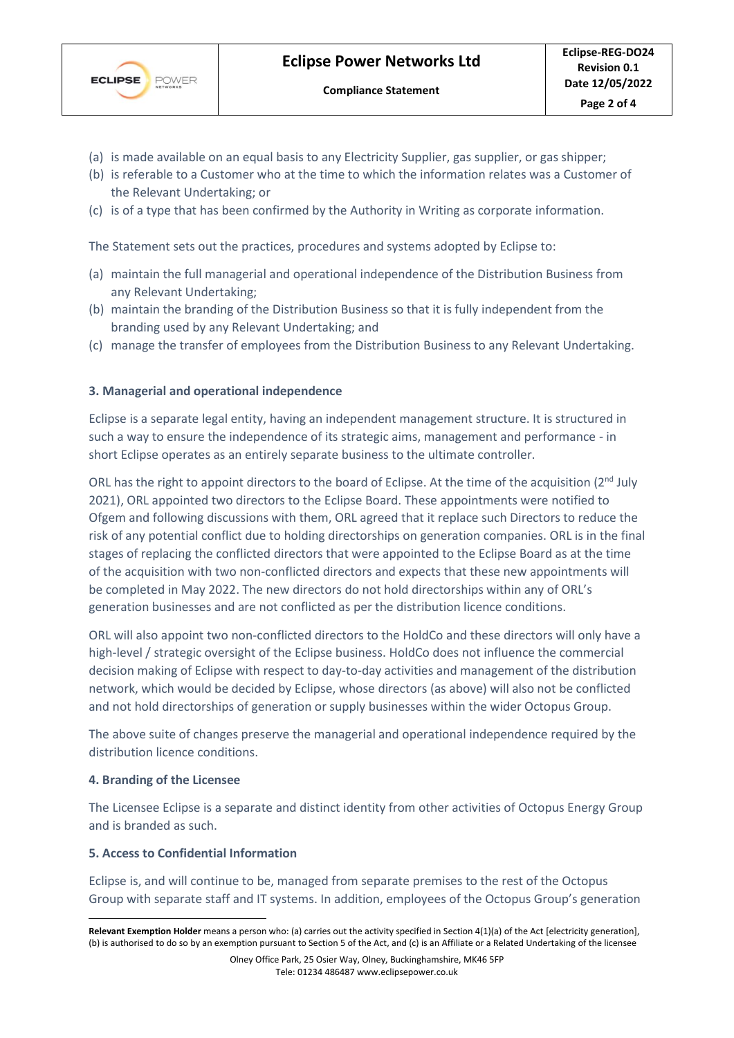

- (a) is made available on an equal basis to any Electricity Supplier, gas supplier, or gas shipper;
- (b) is referable to a Customer who at the time to which the information relates was a Customer of the Relevant Undertaking; or
- (c) is of a type that has been confirmed by the Authority in Writing as corporate information.

The Statement sets out the practices, procedures and systems adopted by Eclipse to:

- (a) maintain the full managerial and operational independence of the Distribution Business from any Relevant Undertaking;
- (b) maintain the branding of the Distribution Business so that it is fully independent from the branding used by any Relevant Undertaking; and
- (c) manage the transfer of employees from the Distribution Business to any Relevant Undertaking.

## **3. Managerial and operational independence**

Eclipse is a separate legal entity, having an independent management structure. It is structured in such a way to ensure the independence of its strategic aims, management and performance - in short Eclipse operates as an entirely separate business to the ultimate controller.

ORL has the right to appoint directors to the board of Eclipse. At the time of the acquisition (2<sup>nd</sup> July 2021), ORL appointed two directors to the Eclipse Board. These appointments were notified to Ofgem and following discussions with them, ORL agreed that it replace such Directors to reduce the risk of any potential conflict due to holding directorships on generation companies. ORL is in the final stages of replacing the conflicted directors that were appointed to the Eclipse Board as at the time of the acquisition with two non-conflicted directors and expects that these new appointments will be completed in May 2022. The new directors do not hold directorships within any of ORL's generation businesses and are not conflicted as per the distribution licence conditions.

ORL will also appoint two non-conflicted directors to the HoldCo and these directors will only have a high-level / strategic oversight of the Eclipse business. HoldCo does not influence the commercial decision making of Eclipse with respect to day-to-day activities and management of the distribution network, which would be decided by Eclipse, whose directors (as above) will also not be conflicted and not hold directorships of generation or supply businesses within the wider Octopus Group.

The above suite of changes preserve the managerial and operational independence required by the distribution licence conditions.

### **4. Branding of the Licensee**

The Licensee Eclipse is a separate and distinct identity from other activities of Octopus Energy Group and is branded as such.

### **5. Access to Confidential Information**

Eclipse is, and will continue to be, managed from separate premises to the rest of the Octopus Group with separate staff and IT systems. In addition, employees of the Octopus Group's generation

**Relevant Exemption Holder** means a person who: (a) carries out the activity specified in Section 4(1)(a) of the Act [electricity generation], (b) is authorised to do so by an exemption pursuant to Section 5 of the Act, and (c) is an Affiliate or a Related Undertaking of the licensee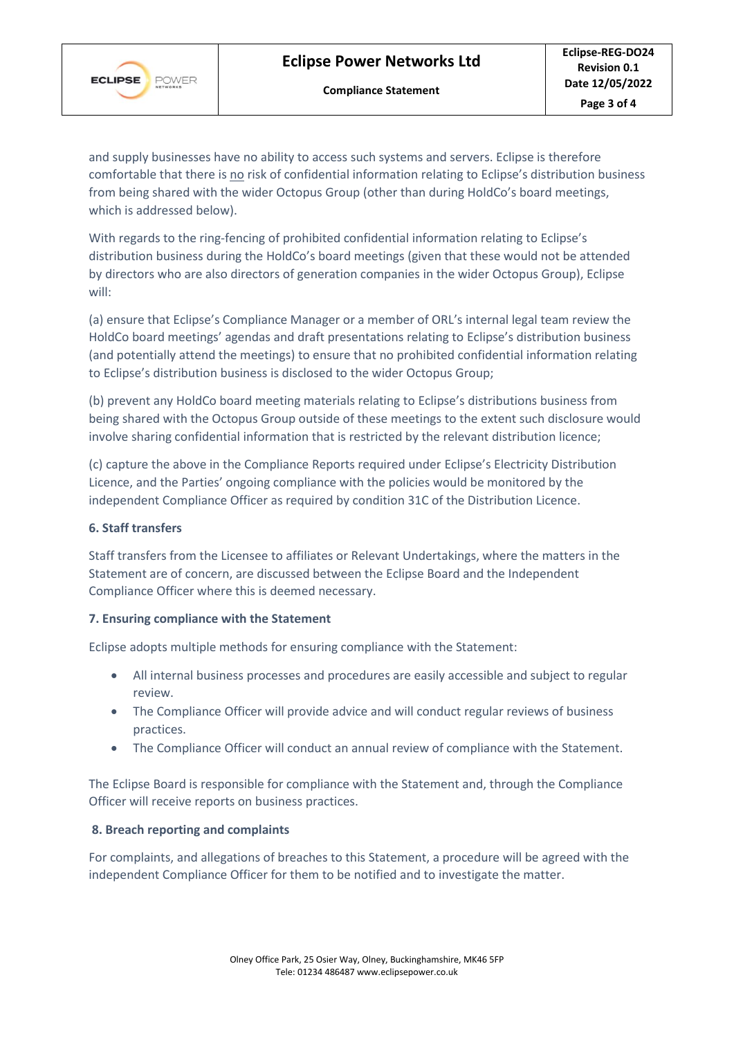

and supply businesses have no ability to access such systems and servers. Eclipse is therefore comfortable that there is no risk of confidential information relating to Eclipse's distribution business from being shared with the wider Octopus Group (other than during HoldCo's board meetings, which is addressed below).

With regards to the ring-fencing of prohibited confidential information relating to Eclipse's distribution business during the HoldCo's board meetings (given that these would not be attended by directors who are also directors of generation companies in the wider Octopus Group), Eclipse will:

(a) ensure that Eclipse's Compliance Manager or a member of ORL's internal legal team review the HoldCo board meetings' agendas and draft presentations relating to Eclipse's distribution business (and potentially attend the meetings) to ensure that no prohibited confidential information relating to Eclipse's distribution business is disclosed to the wider Octopus Group;

(b) prevent any HoldCo board meeting materials relating to Eclipse's distributions business from being shared with the Octopus Group outside of these meetings to the extent such disclosure would involve sharing confidential information that is restricted by the relevant distribution licence;

(c) capture the above in the Compliance Reports required under Eclipse's Electricity Distribution Licence, and the Parties' ongoing compliance with the policies would be monitored by the independent Compliance Officer as required by condition 31C of the Distribution Licence.

# **6. Staff transfers**

Staff transfers from the Licensee to affiliates or Relevant Undertakings, where the matters in the Statement are of concern, are discussed between the Eclipse Board and the Independent Compliance Officer where this is deemed necessary.

# **7. Ensuring compliance with the Statement**

Eclipse adopts multiple methods for ensuring compliance with the Statement:

- All internal business processes and procedures are easily accessible and subject to regular review.
- The Compliance Officer will provide advice and will conduct regular reviews of business practices.
- The Compliance Officer will conduct an annual review of compliance with the Statement.

The Eclipse Board is responsible for compliance with the Statement and, through the Compliance Officer will receive reports on business practices.

# **8. Breach reporting and complaints**

For complaints, and allegations of breaches to this Statement, a procedure will be agreed with the independent Compliance Officer for them to be notified and to investigate the matter.